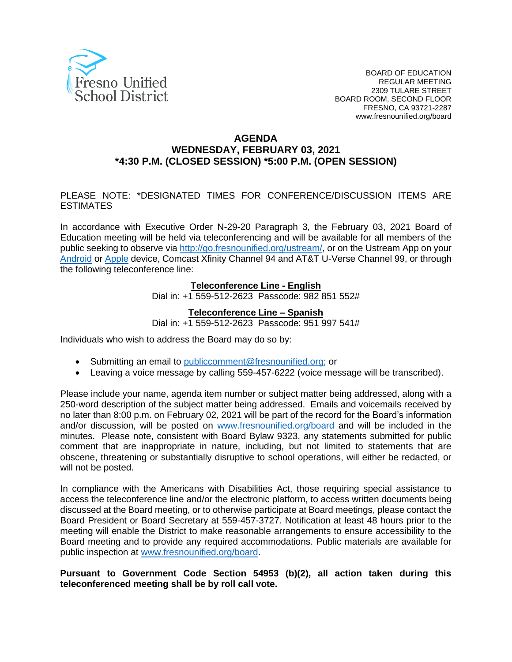

#### **AGENDA WEDNESDAY, FEBRUARY 03, 2021 \*4:30 P.M. (CLOSED SESSION) \*5:00 P.M. (OPEN SESSION)**

#### PLEASE NOTE: \*DESIGNATED TIMES FOR CONFERENCE/DISCUSSION ITEMS ARE ESTIMATES

In accordance with Executive Order N-29-20 Paragraph 3, the February 03, 2021 Board of Education meeting will be held via teleconferencing and will be available for all members of the public seeking to observe via [http://go.fresnounified.org/ustream/,](http://go.fresnounified.org/ustream/) or on the Ustream App on your [Android](https://play.google.com/store/apps/details?id=tv.ustream.ustream&hl=en_US) or [Apple](https://itunes.apple.com/us/app/ustream/id301520250?mt=8) device, Comcast Xfinity Channel 94 and AT&T U-Verse Channel 99, or through the following teleconference line:

#### **Teleconference Line - English**

Dial in: +1 559-512-2623 Passcode: 982 851 552#

#### **Teleconference Line – Spanish**

Dial in: +1 559-512-2623 Passcode: 951 997 541#

Individuals who wish to address the Board may do so by:

- Submitting an email to [publiccomment@fresnounified.org;](mailto:publiccomment@fresnounified.org) or
- Leaving a voice message by calling 559-457-6222 (voice message will be transcribed).

Please include your name, agenda item number or subject matter being addressed, along with a 250-word description of the subject matter being addressed. Emails and voicemails received by no later than 8:00 p.m. on February 02, 2021 will be part of the record for the Board's information and/or discussion, will be posted on [www.fresnounified.org/board](http://www.fresnounified.org/board) and will be included in the minutes. Please note, consistent with Board Bylaw 9323, any statements submitted for public comment that are inappropriate in nature, including, but not limited to statements that are obscene, threatening or substantially disruptive to school operations, will either be redacted, or will not be posted.

In compliance with the Americans with Disabilities Act, those requiring special assistance to access the teleconference line and/or the electronic platform, to access written documents being discussed at the Board meeting, or to otherwise participate at Board meetings, please contact the Board President or Board Secretary at 559-457-3727. Notification at least 48 hours prior to the meeting will enable the District to make reasonable arrangements to ensure accessibility to the Board meeting and to provide any required accommodations. Public materials are available for public inspection at [www.fresnounified.org/board.](http://www.fresnounified.org/board)

#### **Pursuant to Government Code Section 54953 (b)(2), all action taken during this teleconferenced meeting shall be by roll call vote.**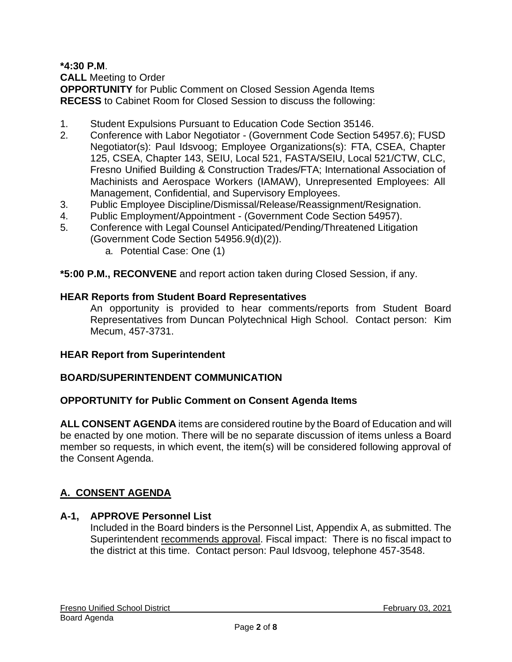**\*4:30 P.M**. **CALL** Meeting to Order **OPPORTUNITY** for Public Comment on Closed Session Agenda Items **RECESS** to Cabinet Room for Closed Session to discuss the following:

- 1. Student Expulsions Pursuant to Education Code Section 35146.
- 2. Conference with Labor Negotiator (Government Code Section 54957.6); FUSD Negotiator(s): Paul Idsvoog; Employee Organizations(s): FTA, CSEA, Chapter 125, CSEA, Chapter 143, SEIU, Local 521, FASTA/SEIU, Local 521/CTW, CLC, Fresno Unified Building & Construction Trades/FTA; International Association of Machinists and Aerospace Workers (IAMAW), Unrepresented Employees: All Management, Confidential, and Supervisory Employees.
- 3. Public Employee Discipline/Dismissal/Release/Reassignment/Resignation.
- 4. Public Employment/Appointment (Government Code Section 54957).
- 5. Conference with Legal Counsel Anticipated/Pending/Threatened Litigation (Government Code Section 54956.9(d)(2)).
	- a. Potential Case: One (1)

**\*5:00 P.M., RECONVENE** and report action taken during Closed Session, if any.

#### **HEAR Reports from Student Board Representatives**

An opportunity is provided to hear comments/reports from Student Board Representatives from Duncan Polytechnical High School. Contact person: Kim Mecum, 457-3731.

#### **HEAR Report from Superintendent**

## **BOARD/SUPERINTENDENT COMMUNICATION**

#### **OPPORTUNITY for Public Comment on Consent Agenda Items**

**ALL CONSENT AGENDA** items are considered routine by the Board of Education and will be enacted by one motion. There will be no separate discussion of items unless a Board member so requests, in which event, the item(s) will be considered following approval of the Consent Agenda.

# **A. CONSENT AGENDA**

#### **A-1, APPROVE Personnel List**

Included in the Board binders is the Personnel List, Appendix A, as submitted. The Superintendent recommends approval. Fiscal impact: There is no fiscal impact to the district at this time. Contact person: Paul Idsvoog, telephone 457-3548.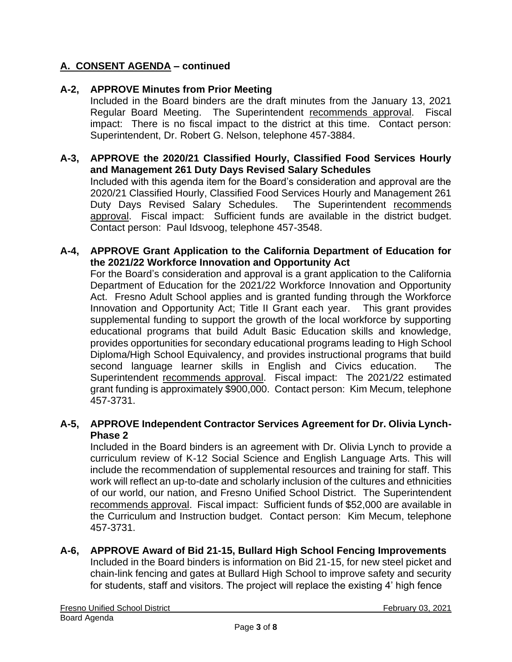#### **A-2, APPROVE Minutes from Prior Meeting**

Included in the Board binders are the draft minutes from the January 13, 2021 Regular Board Meeting. The Superintendent recommends approval. Fiscal impact: There is no fiscal impact to the district at this time. Contact person: Superintendent, Dr. Robert G. Nelson, telephone 457-3884.

#### **A-3, APPROVE the 2020/21 Classified Hourly, Classified Food Services Hourly and Management 261 Duty Days Revised Salary Schedules**

Included with this agenda item for the Board's consideration and approval are the 2020/21 Classified Hourly, Classified Food Services Hourly and Management 261 Duty Days Revised Salary Schedules. The Superintendent recommends approval. Fiscal impact: Sufficient funds are available in the district budget. Contact person: Paul Idsvoog, telephone 457-3548.

#### **A-4, APPROVE Grant Application to the California Department of Education for the 2021/22 Workforce Innovation and Opportunity Act**

For the Board's consideration and approval is a grant application to the California Department of Education for the 2021/22 Workforce Innovation and Opportunity Act. Fresno Adult School applies and is granted funding through the Workforce Innovation and Opportunity Act; Title II Grant each year. This grant provides supplemental funding to support the growth of the local workforce by supporting educational programs that build Adult Basic Education skills and knowledge, provides opportunities for secondary educational programs leading to High School Diploma/High School Equivalency, and provides instructional programs that build second language learner skills in English and Civics education. The Superintendent recommends approval. Fiscal impact: The 2021/22 estimated grant funding is approximately \$900,000. Contact person: Kim Mecum, telephone 457-3731.

#### **A-5, APPROVE Independent Contractor Services Agreement for Dr. Olivia Lynch-Phase 2**

Included in the Board binders is an agreement with Dr. Olivia Lynch to provide a curriculum review of K-12 Social Science and English Language Arts. This will include the recommendation of supplemental resources and training for staff. This work will reflect an up-to-date and scholarly inclusion of the cultures and ethnicities of our world, our nation, and Fresno Unified School District. The Superintendent recommends approval. Fiscal impact: Sufficient funds of \$52,000 are available in the Curriculum and Instruction budget. Contact person: Kim Mecum, telephone 457-3731.

# **A-6, APPROVE Award of Bid 21-15, Bullard High School Fencing Improvements**

Included in the Board binders is information on Bid 21-15, for new steel picket and chain-link fencing and gates at Bullard High School to improve safety and security for students, staff and visitors. The project will replace the existing 4' high fence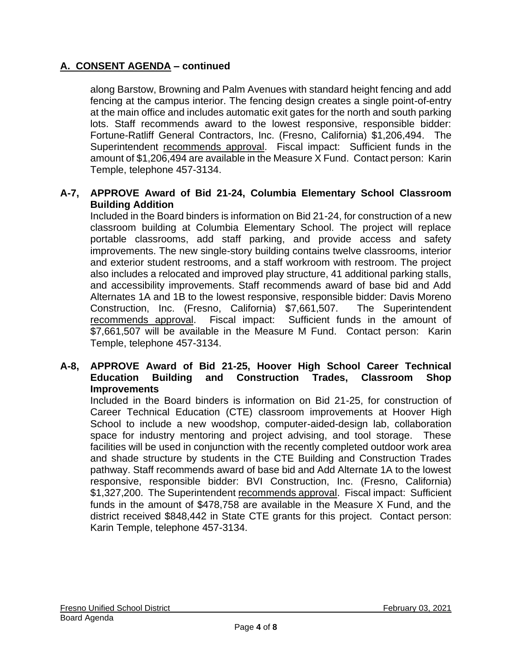along Barstow, Browning and Palm Avenues with standard height fencing and add fencing at the campus interior. The fencing design creates a single point-of-entry at the main office and includes automatic exit gates for the north and south parking lots. Staff recommends award to the lowest responsive, responsible bidder: Fortune-Ratliff General Contractors, Inc. (Fresno, California) \$1,206,494. The Superintendent recommends approval. Fiscal impact: Sufficient funds in the amount of \$1,206,494 are available in the Measure X Fund. Contact person: Karin Temple, telephone 457-3134.

## **A-7, APPROVE Award of Bid 21-24, Columbia Elementary School Classroom Building Addition**

Included in the Board binders is information on Bid 21-24, for construction of a new classroom building at Columbia Elementary School. The project will replace portable classrooms, add staff parking, and provide access and safety improvements. The new single-story building contains twelve classrooms, interior and exterior student restrooms, and a staff workroom with restroom. The project also includes a relocated and improved play structure, 41 additional parking stalls, and accessibility improvements. Staff recommends award of base bid and Add Alternates 1A and 1B to the lowest responsive, responsible bidder: Davis Moreno Construction, Inc. (Fresno, California) \$7,661,507. The Superintendent recommends approval. Fiscal impact: Sufficient funds in the amount of \$7,661,507 will be available in the Measure M Fund. Contact person: Karin Temple, telephone 457-3134.

#### **A-8, APPROVE Award of Bid 21-25, Hoover High School Career Technical Education Building and Construction Trades, Classroom Shop Improvements**

Included in the Board binders is information on Bid 21-25, for construction of Career Technical Education (CTE) classroom improvements at Hoover High School to include a new woodshop, computer-aided-design lab, collaboration space for industry mentoring and project advising, and tool storage. These facilities will be used in conjunction with the recently completed outdoor work area and shade structure by students in the CTE Building and Construction Trades pathway. Staff recommends award of base bid and Add Alternate 1A to the lowest responsive, responsible bidder: BVI Construction, Inc. (Fresno, California) \$1,327,200. The Superintendent recommends approval. Fiscal impact: Sufficient funds in the amount of \$478,758 are available in the Measure X Fund, and the district received \$848,442 in State CTE grants for this project. Contact person: Karin Temple, telephone 457-3134.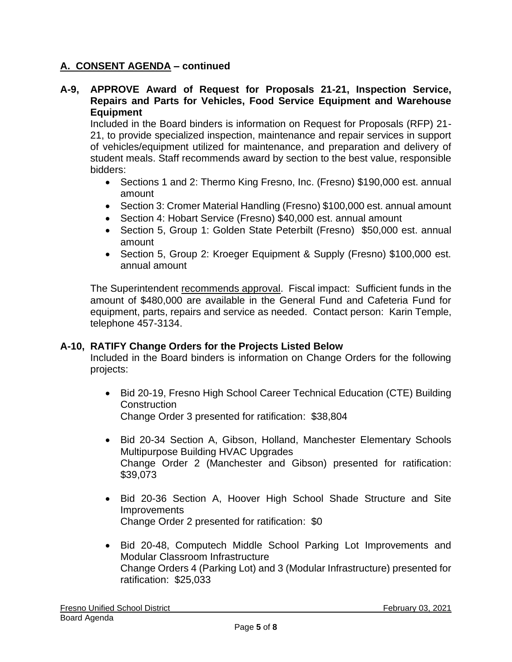#### **A-9, APPROVE Award of Request for Proposals 21-21, Inspection Service, Repairs and Parts for Vehicles, Food Service Equipment and Warehouse Equipment**

Included in the Board binders is information on Request for Proposals (RFP) 21- 21, to provide specialized inspection, maintenance and repair services in support of vehicles/equipment utilized for maintenance, and preparation and delivery of student meals. Staff recommends award by section to the best value, responsible bidders:

- Sections 1 and 2: Thermo King Fresno, Inc. (Fresno) \$190,000 est. annual amount
- Section 3: Cromer Material Handling (Fresno) \$100,000 est. annual amount
- Section 4: Hobart Service (Fresno) \$40,000 est. annual amount
- Section 5, Group 1: Golden State Peterbilt (Fresno) \$50,000 est. annual amount
- Section 5, Group 2: Kroeger Equipment & Supply (Fresno) \$100,000 est. annual amount

The Superintendent recommends approval. Fiscal impact: Sufficient funds in the amount of \$480,000 are available in the General Fund and Cafeteria Fund for equipment, parts, repairs and service as needed. Contact person: Karin Temple, telephone 457-3134.

## **A-10, RATIFY Change Orders for the Projects Listed Below**

Included in the Board binders is information on Change Orders for the following projects:

- Bid 20-19, Fresno High School Career Technical Education (CTE) Building **Construction** Change Order 3 presented for ratification: \$38,804
- Bid 20-34 Section A, Gibson, Holland, Manchester Elementary Schools Multipurpose Building HVAC Upgrades Change Order 2 (Manchester and Gibson) presented for ratification: \$39,073
- Bid 20-36 Section A, Hoover High School Shade Structure and Site **Improvements** Change Order 2 presented for ratification: \$0
- Bid 20-48, Computech Middle School Parking Lot Improvements and Modular Classroom Infrastructure Change Orders 4 (Parking Lot) and 3 (Modular Infrastructure) presented for ratification: \$25,033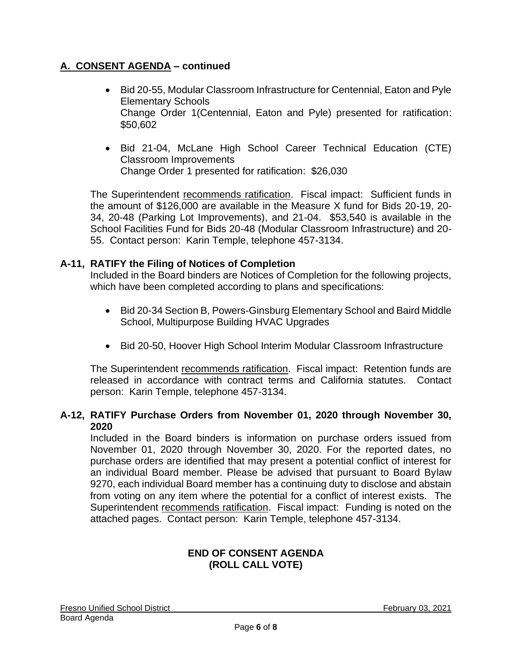- Bid 20-55, Modular Classroom Infrastructure for Centennial, Eaton and Pyle Elementary Schools Change Order 1(Centennial, Eaton and Pyle) presented for ratification: \$50,602
- Bid 21-04, McLane High School Career Technical Education (CTE) Classroom Improvements Change Order 1 presented for ratification: \$26,030

The Superintendent recommends ratification. Fiscal impact: Sufficient funds in the amount of \$126,000 are available in the Measure X fund for Bids 20-19, 20- 34, 20-48 (Parking Lot Improvements), and 21-04. \$53,540 is available in the School Facilities Fund for Bids 20-48 (Modular Classroom Infrastructure) and 20- 55. Contact person: Karin Temple, telephone 457-3134.

## **A-11, RATIFY the Filing of Notices of Completion**

Included in the Board binders are Notices of Completion for the following projects, which have been completed according to plans and specifications:

- Bid 20-34 Section B, Powers-Ginsburg Elementary School and Baird Middle School, Multipurpose Building HVAC Upgrades
- Bid 20-50, Hoover High School Interim Modular Classroom Infrastructure

The Superintendent recommends ratification. Fiscal impact: Retention funds are released in accordance with contract terms and California statutes. Contact person: Karin Temple, telephone 457-3134.

## **A-12, RATIFY Purchase Orders from November 01, 2020 through November 30, 2020**

Included in the Board binders is information on purchase orders issued from November 01, 2020 through November 30, 2020. For the reported dates, no purchase orders are identified that may present a potential conflict of interest for an individual Board member. Please be advised that pursuant to Board Bylaw 9270, each individual Board member has a continuing duty to disclose and abstain from voting on any item where the potential for a conflict of interest exists. The Superintendent recommends ratification. Fiscal impact: Funding is noted on the attached pages. Contact person: Karin Temple, telephone 457-3134.

## **END OF CONSENT AGENDA (ROLL CALL VOTE)**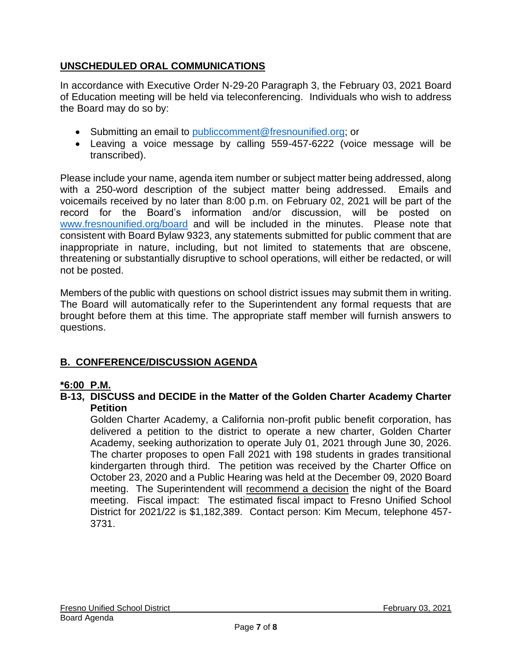# **UNSCHEDULED ORAL COMMUNICATIONS**

In accordance with Executive Order N-29-20 Paragraph 3, the February 03, 2021 Board of Education meeting will be held via teleconferencing. Individuals who wish to address the Board may do so by:

- Submitting an email to [publiccomment@fresnounified.org;](mailto:publiccomment@fresnounified.org) or
- Leaving a voice message by calling 559-457-6222 (voice message will be transcribed).

Please include your name, agenda item number or subject matter being addressed, along with a 250-word description of the subject matter being addressed. Emails and voicemails received by no later than 8:00 p.m. on February 02, 2021 will be part of the record for the Board's information and/or discussion, will be posted on [www.fresnounified.org/board](http://www.fresnounified.org/board) and will be included in the minutes. Please note that consistent with Board Bylaw 9323, any statements submitted for public comment that are inappropriate in nature, including, but not limited to statements that are obscene, threatening or substantially disruptive to school operations, will either be redacted, or will not be posted.

Members of the public with questions on school district issues may submit them in writing. The Board will automatically refer to the Superintendent any formal requests that are brought before them at this time. The appropriate staff member will furnish answers to questions.

# **B. CONFERENCE/DISCUSSION AGENDA**

# **\*6:00 P.M.**

#### **B-13, DISCUSS and DECIDE in the Matter of the Golden Charter Academy Charter Petition**

Golden Charter Academy, a California non-profit public benefit corporation, has delivered a petition to the district to operate a new charter, Golden Charter Academy, seeking authorization to operate July 01, 2021 through June 30, 2026. The charter proposes to open Fall 2021 with 198 students in grades transitional kindergarten through third. The petition was received by the Charter Office on October 23, 2020 and a Public Hearing was held at the December 09, 2020 Board meeting. The Superintendent will recommend a decision the night of the Board meeting. Fiscal impact: The estimated fiscal impact to Fresno Unified School District for 2021/22 is \$1,182,389. Contact person: Kim Mecum, telephone 457- 3731.